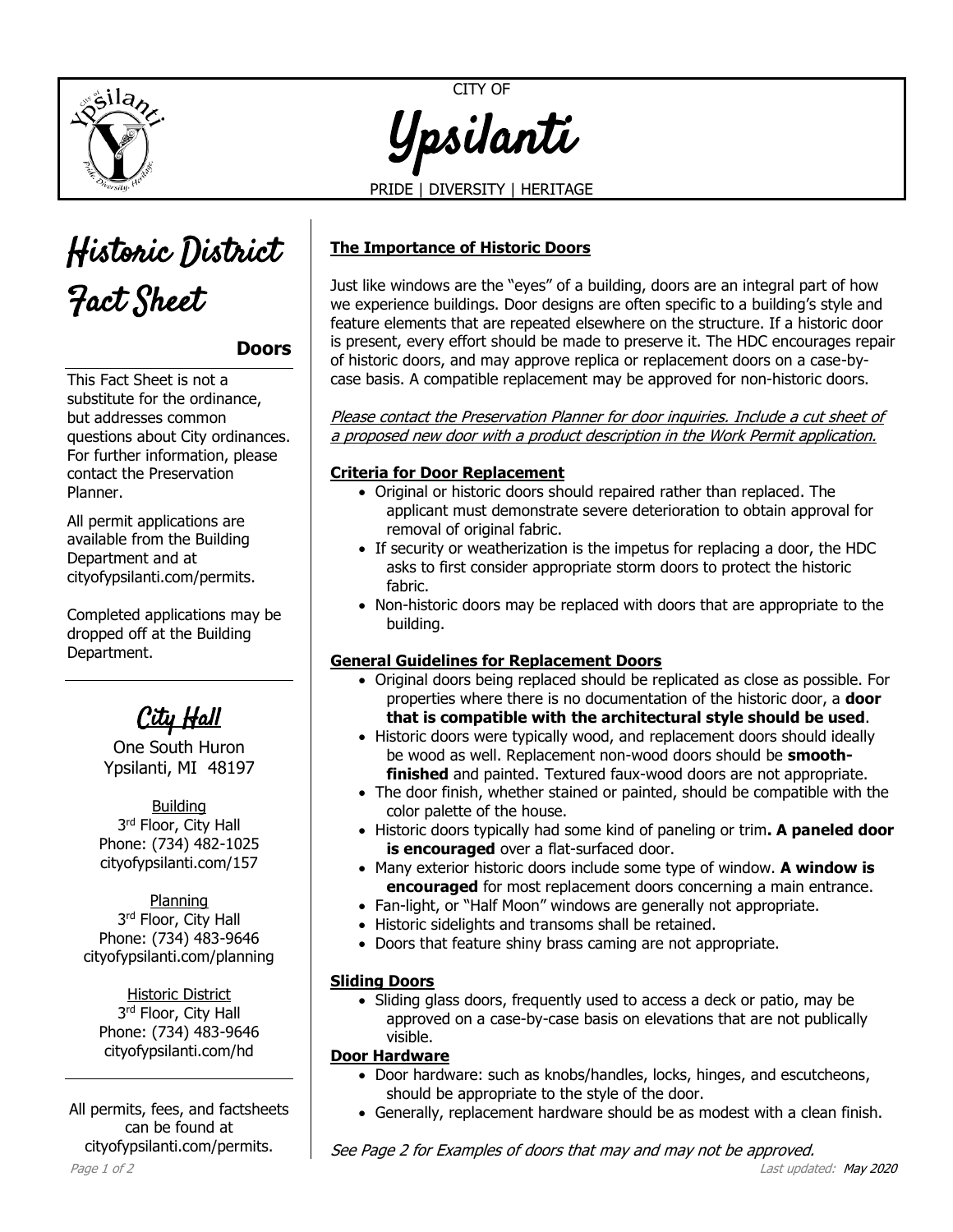

CITY OF Ypsilanti

PRIDE | DIVERSITY | HERITAGE



**Doors**

This Fact Sheet is not a substitute for the ordinance, but addresses common questions about City ordinances. For further information, please contact the Preservation Planner.

All permit applications are available from the Building Department and at [cityofypsilanti.com/permits.](http://www.cityofypsilanti.com/permits)

Completed applications may be dropped off at the Building Department.

City Hall

One South Huron Ypsilanti, MI 48197

Building 3<sup>rd</sup> Floor, City Hall Phone: (734) 482-1025 cityofypsilanti.com/157

Planning 3<sup>rd</sup> Floor, City Hall Phone: (734) 483-9646 [cityofypsilanti.com/planning](http://www.cityofypsilanti.com/planning)

Historic District 3<sup>rd</sup> Floor, City Hall Phone: (734) 483-9646 [cityofypsilanti.com/hd](http://www.cityofypsilanti.com/hdc)

All permits, fees, and factsheets can be found at [cityofypsilanti.com/permits.](http://www.cityofypsilanti.com/permits)

**The Importance of Historic Doors**

Just like windows are the "eyes" of a building, doors are an integral part of how we experience buildings. Door designs are often specific to a building's style and feature elements that are repeated elsewhere on the structure. If a historic door is present, every effort should be made to preserve it. The HDC encourages repair of historic doors, and may approve replica or replacement doors on a case-bycase basis. A compatible replacement may be approved for non-historic doors.

Please contact the Preservation Planner for door inquiries. Include a cut sheet of a proposed new door with a product description in the Work Permit application.

## **Criteria for Door Replacement**

- Original or historic doors should repaired rather than replaced. The applicant must demonstrate severe deterioration to obtain approval for removal of original fabric.
- If security or weatherization is the impetus for replacing a door, the HDC asks to first consider appropriate storm doors to protect the historic fabric.
- Non-historic doors may be replaced with doors that are appropriate to the building.

## **General Guidelines for Replacement Doors**

- Original doors being replaced should be replicated as close as possible. For properties where there is no documentation of the historic door, a **door that is compatible with the architectural style should be used**.
- Historic doors were typically wood, and replacement doors should ideally be wood as well. Replacement non-wood doors should be **smoothfinished** and painted. Textured faux-wood doors are not appropriate.
- The door finish, whether stained or painted, should be compatible with the color palette of the house.
- Historic doors typically had some kind of paneling or trim**. A paneled door is encouraged** over a flat-surfaced door.
- Many exterior historic doors include some type of window. **A window is encouraged** for most replacement doors concerning a main entrance.
- Fan-light, or "Half Moon" windows are generally not appropriate.
- Historic sidelights and transoms shall be retained.
- Doors that feature shiny brass caming are not appropriate.

## **Sliding Doors**

 Sliding glass doors, frequently used to access a deck or patio, may be approved on a case-by-case basis on elevations that are not publically visible.

## **Door Hardware**

- Door hardware: such as knobs/handles, locks, hinges, and escutcheons, should be appropriate to the style of the door.
- Generally, replacement hardware should be as modest with a clean finish.

See Page 2 for Examples of doors that may and may not be approved.